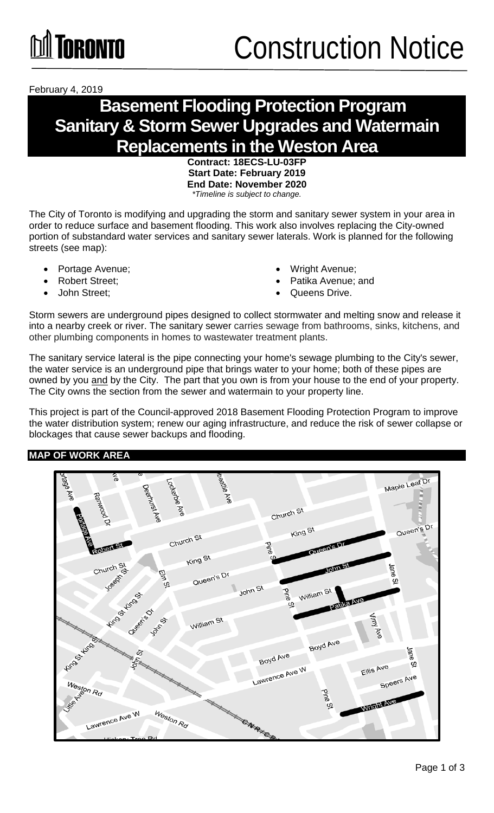February 4, 2019

### **Basement Flooding Protection Program Sanitary & Storm Sewer Upgrades and Watermain Replacements in the Weston Area**

**Contract: 18ECS-LU-03FP Start Date: February 2019 End Date: November 2020** *\*Timeline is subject to change.*

The City of Toronto is modifying and upgrading the storm and sanitary sewer system in your area in order to reduce surface and basement flooding. This work also involves replacing the City-owned portion of substandard water services and sanitary sewer laterals. Work is planned for the following streets (see map):

- Portage Avenue;
- Robert Street;
- John Street;
- Wright Avenue;
- Patika Avenue; and
- Queens Drive.

Storm sewers are underground pipes designed to collect stormwater and melting snow and release it into a nearby creek or river. The sanitary sewer carries sewage from bathrooms, sinks, kitchens, and other plumbing components in homes to wastewater treatment plants.

The sanitary service lateral is the pipe connecting your home's sewage plumbing to the City's sewer, the water service is an underground pipe that brings water to your home; both of these pipes are owned by you and by the City. The part that you own is from your house to the end of your property. The City owns the section from the sewer and watermain to your property line.

This project is part of the Council-approved 2018 Basement Flooding Protection Program to improve the water distribution system; renew our aging infrastructure, and reduce the risk of sewer collapse or blockages that cause sewer backups and flooding.

#### **MAP OF WORK AREA**

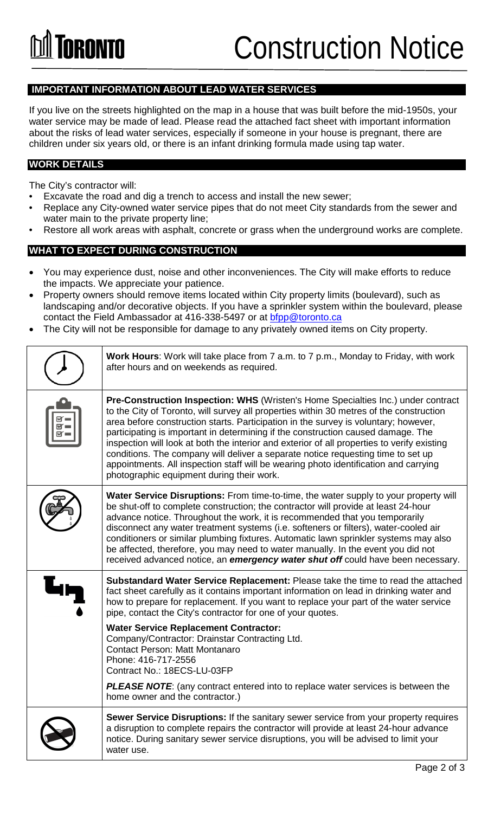## Construction Notice

#### **IMPORTANT INFORMATION ABOUT LEAD WATER SERVICES**

If you live on the streets highlighted on the map in a house that was built before the mid-1950s, your water service may be made of lead. Please read the attached fact sheet with important information about the risks of lead water services, especially if someone in your house is pregnant, there are children under six years old, or there is an infant drinking formula made using tap water.

#### **WORK DETAILS**

The City's contractor will:

- Excavate the road and dig a trench to access and install the new sewer;
- Replace any City-owned water service pipes that do not meet City standards from the sewer and water main to the private property line;
- Restore all work areas with asphalt, concrete or grass when the underground works are complete.

#### **WHAT TO EXPECT DURING CONSTRUCTION**

- You may experience dust, noise and other inconveniences. The City will make efforts to reduce the impacts. We appreciate your patience.
- Property owners should remove items located within City property limits (boulevard), such as landscaping and/or decorative objects. If you have a sprinkler system within the boulevard, please contact the Field Ambassador at 416-338-5497 or at **bfpp@toronto.ca**
- The City will not be responsible for damage to any privately owned items on City property.

| Work Hours: Work will take place from 7 a.m. to 7 p.m., Monday to Friday, with work<br>after hours and on weekends as required.                                                                                                                                                                                                                                                                                                                                                                                                                                                                                                                                                        |
|----------------------------------------------------------------------------------------------------------------------------------------------------------------------------------------------------------------------------------------------------------------------------------------------------------------------------------------------------------------------------------------------------------------------------------------------------------------------------------------------------------------------------------------------------------------------------------------------------------------------------------------------------------------------------------------|
| <b>Pre-Construction Inspection: WHS (Wristen's Home Specialties Inc.) under contract</b><br>to the City of Toronto, will survey all properties within 30 metres of the construction<br>area before construction starts. Participation in the survey is voluntary; however,<br>participating is important in determining if the construction caused damage. The<br>inspection will look at both the interior and exterior of all properties to verify existing<br>conditions. The company will deliver a separate notice requesting time to set up<br>appointments. All inspection staff will be wearing photo identification and carrying<br>photographic equipment during their work. |
| Water Service Disruptions: From time-to-time, the water supply to your property will<br>be shut-off to complete construction; the contractor will provide at least 24-hour<br>advance notice. Throughout the work, it is recommended that you temporarily<br>disconnect any water treatment systems (i.e. softeners or filters), water-cooled air<br>conditioners or similar plumbing fixtures. Automatic lawn sprinkler systems may also<br>be affected, therefore, you may need to water manually. In the event you did not<br>received advanced notice, an emergency water shut off could have been necessary.                                                                      |
| Substandard Water Service Replacement: Please take the time to read the attached<br>fact sheet carefully as it contains important information on lead in drinking water and<br>how to prepare for replacement. If you want to replace your part of the water service<br>pipe, contact the City's contractor for one of your quotes.                                                                                                                                                                                                                                                                                                                                                    |
| <b>Water Service Replacement Contractor:</b><br>Company/Contractor: Drainstar Contracting Ltd.<br><b>Contact Person: Matt Montanaro</b><br>Phone: 416-717-2556<br>Contract No.: 18ECS-LU-03FP                                                                                                                                                                                                                                                                                                                                                                                                                                                                                          |
| <b>PLEASE NOTE:</b> (any contract entered into to replace water services is between the<br>home owner and the contractor.)                                                                                                                                                                                                                                                                                                                                                                                                                                                                                                                                                             |
| Sewer Service Disruptions: If the sanitary sewer service from your property requires<br>a disruption to complete repairs the contractor will provide at least 24-hour advance<br>notice. During sanitary sewer service disruptions, you will be advised to limit your<br>water use.                                                                                                                                                                                                                                                                                                                                                                                                    |